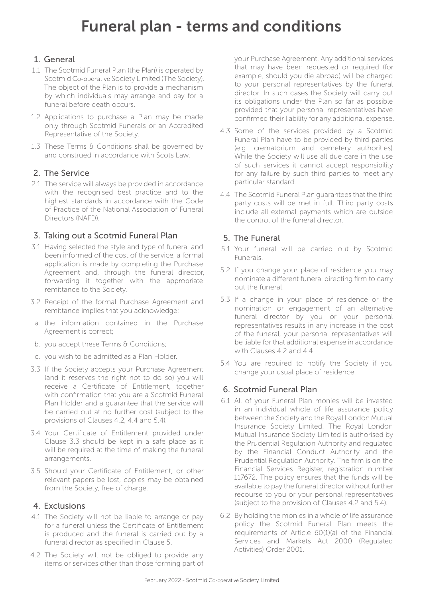# Funeral plan - terms and conditions

### 1. General

- 1.1 The Scotmid Funeral Plan (the Plan) is operated by Scotmid Co-operative Society Limited (The Society). The object of the Plan is to provide a mechanism by which individuals may arrange and pay for a funeral before death occurs.
- 1.2 Applications to purchase a Plan may be made only through Scotmid Funerals or an Accredited Representative of the Society.
- 1.3 These Terms & Conditions shall be governed by and construed in accordance with Scots Law.

#### 2. The Service

2.1 The service will always be provided in accordance with the recognised best practice and to the highest standards in accordance with the Code of Practice of the National Association of Funeral Directors (NAFD).

#### 3. Taking out a Scotmid Funeral Plan

- 3.1 Having selected the style and type of funeral and been informed of the cost of the service, a formal application is made by completing the Purchase Agreement and, through the funeral director, forwarding it together with the appropriate remittance to the Society.
- 3.2 Receipt of the formal Purchase Agreement and remittance implies that you acknowledge:
- a. the information contained in the Purchase Agreement is correct;
- b. you accept these Terms & Conditions;
- c. you wish to be admitted as a Plan Holder.
- 3.3 If the Society accepts your Purchase Agreement (and it reserves the right not to do so) you will receive a Certificate of Entitlement, together with confirmation that you are a Scotmid Funeral Plan Holder and a guarantee that the service will be carried out at no further cost (subject to the provisions of Clauses 4.2, 4.4 and 5.4).
- 3.4 Your Certificate of Entitlement provided under Clause 3.3 should be kept in a safe place as it will be required at the time of making the funeral arrangements.
- 3.5 Should your Certificate of Entitlement, or other relevant papers be lost, copies may be obtained from the Society, free of charge.

#### 4. Exclusions

- 4.1 The Society will not be liable to arrange or pay for a funeral unless the Certificate of Entitlement is produced and the funeral is carried out by a funeral director as specified in Clause 5.
- 4.2 The Society will not be obliged to provide any items or services other than those forming part of

your Purchase Agreement. Any additional services that may have been requested or required (for example, should you die abroad) will be charged to your personal representatives by the funeral director. In such cases the Society will carry out its obligations under the Plan so far as possible provided that your personal representatives have confirmed their liability for any additional expense.

- 4.3 Some of the services provided by a Scotmid Funeral Plan have to be provided by third parties (e.g. crematorium and cemetery authorities). While the Society will use all due care in the use of such services it cannot accept responsibility for any failure by such third parties to meet any particular standard.
- 4.4 The Scotmid Funeral Plan guarantees that the third party costs will be met in full. Third party costs include all external payments which are outside the control of the funeral director.

#### 5. The Funeral

- 5.1 Your funeral will be carried out by Scotmid Funerals.
- 5.2 If you change your place of residence you may nominate a different funeral directing firm to carry out the funeral.
- 5.3 If a change in your place of residence or the nomination or engagement of an alternative funeral director by you or your personal representatives results in any increase in the cost of the funeral, your personal representatives will be liable for that additional expense in accordance with Clauses 4.2 and 4.4
- 5.4 You are required to notify the Society if you change your usual place of residence.

#### 6. Scotmid Funeral Plan

- 6.1 All of your Funeral Plan monies will be invested in an individual whole of life assurance policy between the Society and the Royal London Mutual Insurance Society Limited. The Royal London Mutual Insurance Society Limited is authorised by the Prudential Regulation Authority and regulated by the Financial Conduct Authority and the Prudential Regulation Authority. The firm is on the Financial Services Register, registration number 117672. The policy ensures that the funds will be available to pay the funeral director without further recourse to you or your personal representatives (subject to the provision of Clauses 4.2 and 5.4).
- 6.2 By holding the monies in a whole of life assurance policy the Scotmid Funeral Plan meets the requirements of Article 60(1)(a) of the Financial Services and Markets Act 2000 (Regulated Activities) Order 2001.